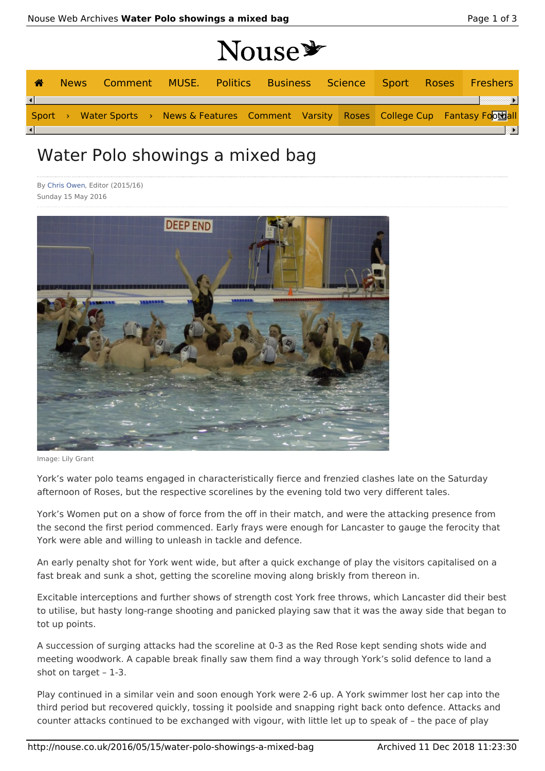|                        |             |                                                                                           |  | Nouse * |  |  |  |      |
|------------------------|-------------|-------------------------------------------------------------------------------------------|--|---------|--|--|--|------|
| <b>A</b>               | <b>News</b> | Comment MUSE. Politics Business Science Sport Roses Freshers                              |  |         |  |  |  |      |
| $\left  \cdot \right $ |             |                                                                                           |  |         |  |  |  |      |
|                        |             | Sport > Water Sports > News & Features Comment Varsity Roses College Cup Fantasy Football |  |         |  |  |  |      |
| $\lceil$               |             |                                                                                           |  |         |  |  |  | ≕ ⊧i |

## Water Polo showings a mixed bag

By Chris Owen, Editor (2015/16) Sunday 15 May 2016



Image: Lily Grant

York's water polo teams engaged in characteristically fierce and frenzied clashes late on the Saturday afternoon of Roses, but the respective scorelines by the evening told two very different tales.

York's Women put on a show of force from the off in their match, and were the attacking presence from the second the first period commenced. Early frays were enough for Lancaster to gauge the ferocity that York were able and willing to unleash in tackle and defence.

An early penalty shot for York went wide, but after a quick exchange of play the visitors capitalised on a fast break and sunk a shot, getting the scoreline moving along briskly from thereon in.

Excitable interceptions and further shows of strength cost York free throws, which Lancaster did their best to utilise, but hasty long-range shooting and panicked playing saw that it was the away side that began to tot up points.

A succession of surging attacks had the scoreline at 0-3 as the Red Rose kept sending shots wide and meeting woodwork. A capable break finally saw them find a way through York's solid defence to land a shot on target – 1-3.

Play continued in a similar vein and soon enough York were 2-6 up. A York swimmer lost her cap into the third period but recovered quickly, tossing it poolside and snapping right back onto defence. Attacks and counter attacks continued to be exchanged with vigour, with little let up to speak of – the pace of play